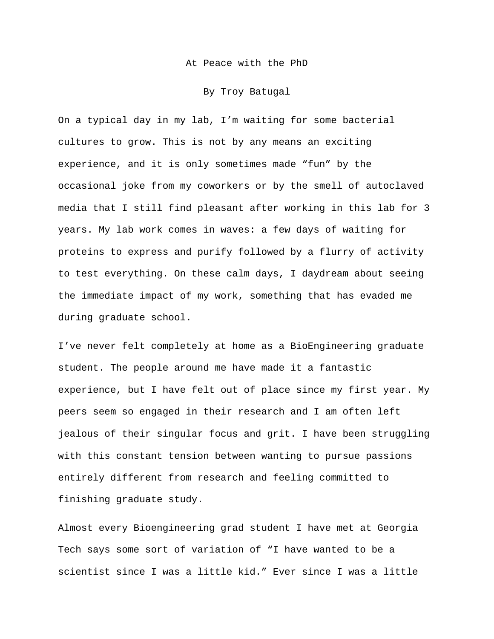At Peace with the PhD

By Troy Batugal

On a typical day in my lab, I'm waiting for some bacterial cultures to grow. This is not by any means an exciting experience, and it is only sometimes made "fun" by the occasional joke from my coworkers or by the smell of autoclaved media that I still find pleasant after working in this lab for 3 years. My lab work comes in waves: a few days of waiting for proteins to express and purify followed by a flurry of activity to test everything. On these calm days, I daydream about seeing the immediate impact of my work, something that has evaded me during graduate school.

I've never felt completely at home as a BioEngineering graduate student. The people around me have made it a fantastic experience, but I have felt out of place since my first year. My peers seem so engaged in their research and I am often left jealous of their singular focus and grit. I have been struggling with this constant tension between wanting to pursue passions entirely different from research and feeling committed to finishing graduate study.

Almost every Bioengineering grad student I have met at Georgia Tech says some sort of variation of "I have wanted to be a scientist since I was a little kid." Ever since I was a little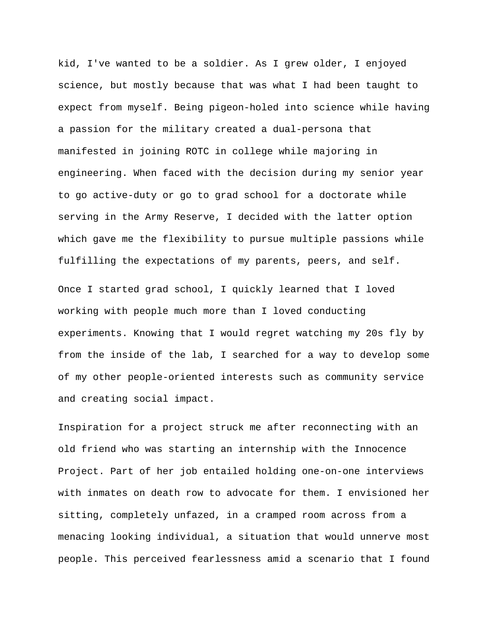kid, I've wanted to be a soldier. As I grew older, I enjoyed science, but mostly because that was what I had been taught to expect from myself. Being pigeon-holed into science while having a passion for the military created a dual-persona that manifested in joining ROTC in college while majoring in engineering. When faced with the decision during my senior year to go active-duty or go to grad school for a doctorate while serving in the Army Reserve, I decided with the latter option which gave me the flexibility to pursue multiple passions while fulfilling the expectations of my parents, peers, and self. Once I started grad school, I quickly learned that I loved working with people much more than I loved conducting experiments. Knowing that I would regret watching my 20s fly by from the inside of the lab, I searched for a way to develop some of my other people-oriented interests such as community service and creating social impact.

Inspiration for a project struck me after reconnecting with an old friend who was starting an internship with the Innocence Project. Part of her job entailed holding one-on-one interviews with inmates on death row to advocate for them. I envisioned her sitting, completely unfazed, in a cramped room across from a menacing looking individual, a situation that would unnerve most people. This perceived fearlessness amid a scenario that I found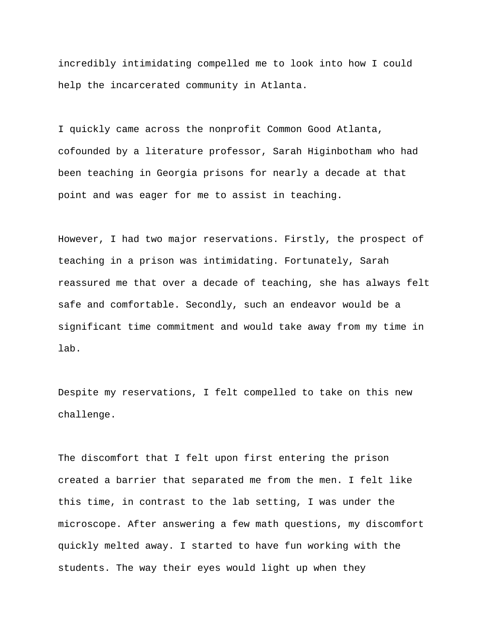incredibly intimidating compelled me to look into how I could help the incarcerated community in Atlanta.

I quickly came across the nonprofit Common Good Atlanta, cofounded by a literature professor, Sarah Higinbotham who had been teaching in Georgia prisons for nearly a decade at that point and was eager for me to assist in teaching.

However, I had two major reservations. Firstly, the prospect of teaching in a prison was intimidating. Fortunately, Sarah reassured me that over a decade of teaching, she has always felt safe and comfortable. Secondly, such an endeavor would be a significant time commitment and would take away from my time in lab.

Despite my reservations, I felt compelled to take on this new challenge.

The discomfort that I felt upon first entering the prison created a barrier that separated me from the men. I felt like this time, in contrast to the lab setting, I was under the microscope. After answering a few math questions, my discomfort quickly melted away. I started to have fun working with the students. The way their eyes would light up when they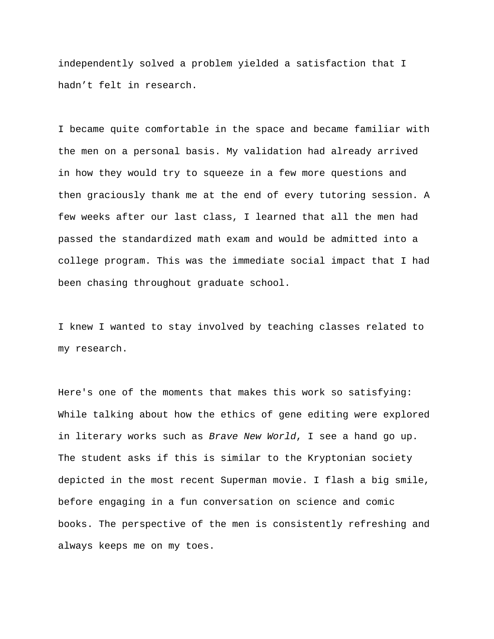independently solved a problem yielded a satisfaction that I hadn't felt in research.

I became quite comfortable in the space and became familiar with the men on a personal basis. My validation had already arrived in how they would try to squeeze in a few more questions and then graciously thank me at the end of every tutoring session. A few weeks after our last class, I learned that all the men had passed the standardized math exam and would be admitted into a college program. This was the immediate social impact that I had been chasing throughout graduate school.

I knew I wanted to stay involved by teaching classes related to my research.

Here's one of the moments that makes this work so satisfying: While talking about how the ethics of gene editing were explored in literary works such as *Brave New World*, I see a hand go up. The student asks if this is similar to the Kryptonian society depicted in the most recent Superman movie. I flash a big smile, before engaging in a fun conversation on science and comic books. The perspective of the men is consistently refreshing and always keeps me on my toes.